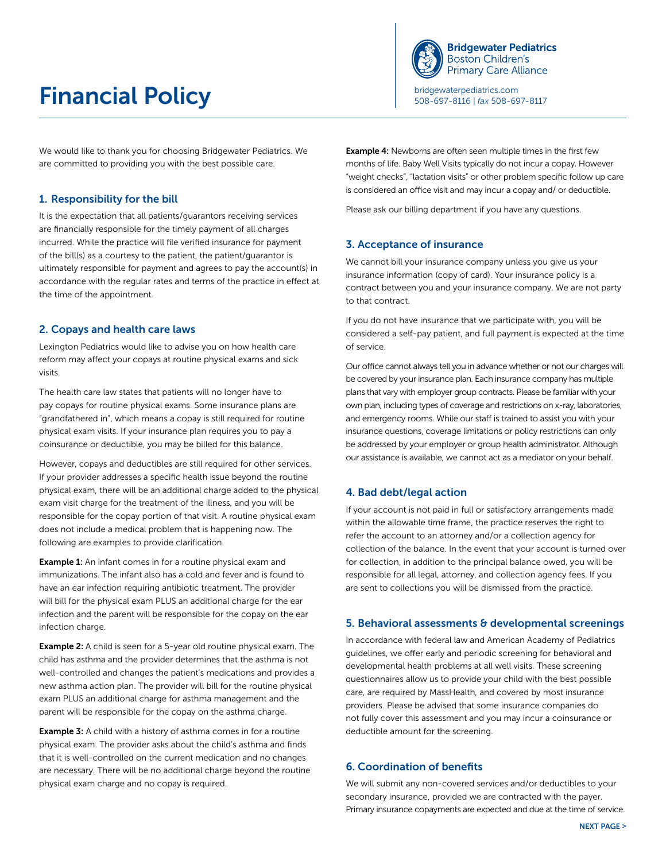# **Financial Policy Financial Policy Financial Policing Policing Contracts** 508-697-8116 | *fax* 508-697-8117



We would like to thank you for choosing Bridgewater Pediatrics. We are committed to providing you with the best possible care.

### 1. Responsibility for the bill

It is the expectation that all patients/guarantors receiving services are financially responsible for the timely payment of all charges incurred. While the practice will file verified insurance for payment of the bill(s) as a courtesy to the patient, the patient/guarantor is ultimately responsible for payment and agrees to pay the account(s) in accordance with the regular rates and terms of the practice in effect at the time of the appointment.

#### 2. Copays and health care laws

Lexington Pediatrics would like to advise you on how health care reform may affect your copays at routine physical exams and sick visits.

The health care law states that patients will no longer have to pay copays for routine physical exams. Some insurance plans are "grandfathered in", which means a copay is still required for routine physical exam visits. If your insurance plan requires you to pay a coinsurance or deductible, you may be billed for this balance.

However, copays and deductibles are still required for other services. If your provider addresses a specific health issue beyond the routine physical exam, there will be an additional charge added to the physical exam visit charge for the treatment of the illness, and you will be responsible for the copay portion of that visit. A routine physical exam does not include a medical problem that is happening now. The following are examples to provide clarification.

**Example 1:** An infant comes in for a routine physical exam and immunizations. The infant also has a cold and fever and is found to have an ear infection requiring antibiotic treatment. The provider will bill for the physical exam PLUS an additional charge for the ear infection and the parent will be responsible for the copay on the ear infection charge.

Example 2: A child is seen for a 5-year old routine physical exam. The child has asthma and the provider determines that the asthma is not well-controlled and changes the patient's medications and provides a new asthma action plan. The provider will bill for the routine physical exam PLUS an additional charge for asthma management and the parent will be responsible for the copay on the asthma charge.

**Example 3:** A child with a history of asthma comes in for a routine physical exam. The provider asks about the child's asthma and finds that it is well-controlled on the current medication and no changes are necessary. There will be no additional charge beyond the routine physical exam charge and no copay is required.

**Example 4:** Newborns are often seen multiple times in the first few months of life. Baby Well Visits typically do not incur a copay. However "weight checks", "lactation visits" or other problem specific follow up care is considered an office visit and may incur a copay and/ or deductible.

Please ask our billing department if you have any questions.

## 3. Acceptance of insurance

We cannot bill your insurance company unless you give us your insurance information (copy of card). Your insurance policy is a contract between you and your insurance company. We are not party to that contract.

If you do not have insurance that we participate with, you will be considered a self-pay patient, and full payment is expected at the time of service.

Our office cannot always tell you in advance whether or not our charges will be covered by your insurance plan. Each insurance company has multiple plans that vary with employer group contracts. Please be familiar with your own plan, including types of coverage and restrictions on x-ray, laboratories, and emergency rooms. While our staff is trained to assist you with your insurance questions, coverage limitations or policy restrictions can only be addressed by your employer or group health administrator. Although our assistance is available, we cannot act as a mediator on your behalf.

#### 4. Bad debt/legal action

If your account is not paid in full or satisfactory arrangements made within the allowable time frame, the practice reserves the right to refer the account to an attorney and/or a collection agency for collection of the balance. In the event that your account is turned over for collection, in addition to the principal balance owed, you will be responsible for all legal, attorney, and collection agency fees. If you are sent to collections you will be dismissed from the practice.

#### 5. Behavioral assessments & developmental screenings

In accordance with federal law and American Academy of Pediatrics guidelines, we offer early and periodic screening for behavioral and developmental health problems at all well visits. These screening questionnaires allow us to provide your child with the best possible care, are required by MassHealth, and covered by most insurance providers. Please be advised that some insurance companies do not fully cover this assessment and you may incur a coinsurance or deductible amount for the screening.

#### 6. Coordination of benefits

We will submit any non-covered services and/or deductibles to your secondary insurance, provided we are contracted with the payer. Primary insurance copayments are expected and due at the time of service.